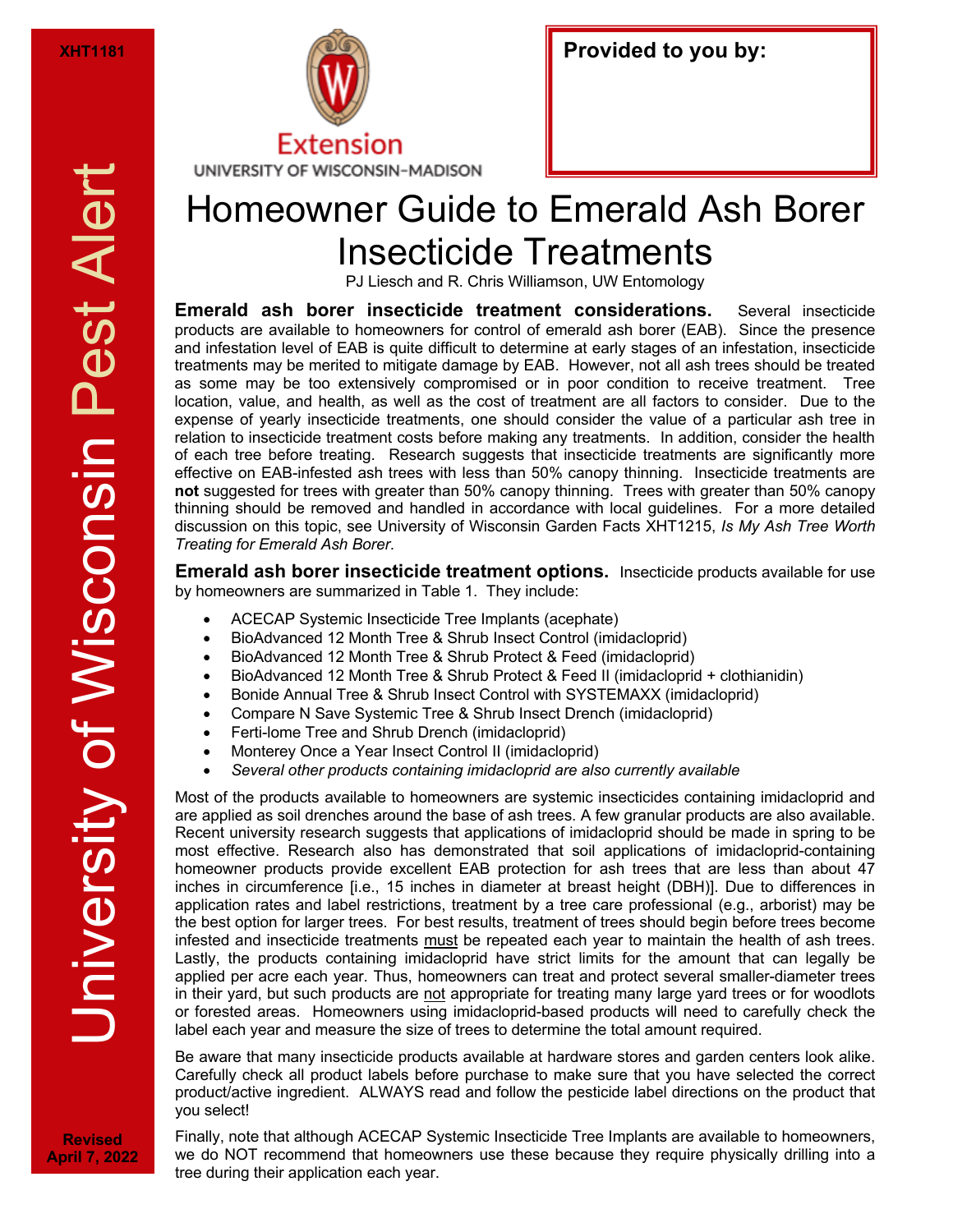

| <b>XHT1181</b> | $\mathbb{C}$ | <b>Provided to you by:</b> |
|----------------|--------------|----------------------------|
|----------------|--------------|----------------------------|

## UNIVERSITY OF WISCONSIN-MADISON

## Homeowner Guide to Emerald Ash Borer Insecticide Treatments

PJ Liesch and R. Chris Williamson, UW Entomology

**Emerald ash borer insecticide treatment considerations.** Several insecticide products are available to homeowners for control of emerald ash borer (EAB). Since the presence and infestation level of EAB is quite difficult to determine at early stages of an infestation, insecticide treatments may be merited to mitigate damage by EAB. However, not all ash trees should be treated as some may be too extensively compromised or in poor condition to receive treatment. Tree location, value, and health, as well as the cost of treatment are all factors to consider. Due to the expense of yearly insecticide treatments, one should consider the value of a particular ash tree in relation to insecticide treatment costs before making any treatments. In addition, consider the health of each tree before treating. Research suggests that insecticide treatments are significantly more effective on EAB-infested ash trees with less than 50% canopy thinning. Insecticide treatments are **not** suggested for trees with greater than 50% canopy thinning. Trees with greater than 50% canopy thinning should be removed and handled in accordance with local guidelines. For a more detailed discussion on this topic, see University of Wisconsin Garden Facts XHT1215, *Is My Ash Tree Worth Treating for Emerald Ash Borer*.

**Emerald ash borer insecticide treatment options.** Insecticide products available for use by homeowners are summarized in Table 1. They include:

- ACECAP Systemic Insecticide Tree Implants (acephate)
- BioAdvanced 12 Month Tree & Shrub Insect Control (imidacloprid)
- BioAdvanced 12 Month Tree & Shrub Protect & Feed (imidacloprid)
- BioAdvanced 12 Month Tree & Shrub Protect & Feed II (imidacloprid + clothianidin)
- Bonide Annual Tree & Shrub Insect Control with SYSTEMAXX (imidacloprid)
- Compare N Save Systemic Tree & Shrub Insect Drench (imidacloprid)
- Ferti-lome Tree and Shrub Drench (imidacloprid)
- Monterey Once a Year Insect Control II (imidacloprid)
- *Several other products containing imidacloprid are also currently available*

Most of the products available to homeowners are systemic insecticides containing imidacloprid and are applied as soil drenches around the base of ash trees. A few granular products are also available. Recent university research suggests that applications of imidacloprid should be made in spring to be most effective. Research also has demonstrated that soil applications of imidacloprid-containing homeowner products provide excellent EAB protection for ash trees that are less than about 47 inches in circumference [i.e., 15 inches in diameter at breast height (DBH)]. Due to differences in application rates and label restrictions, treatment by a tree care professional (e.g., arborist) may be the best option for larger trees. For best results, treatment of trees should begin before trees become infested and insecticide treatments must be repeated each year to maintain the health of ash trees. Lastly, the products containing imidacloprid have strict limits for the amount that can legally be applied per acre each year. Thus, homeowners can treat and protect several smaller-diameter trees in their yard, but such products are not appropriate for treating many large yard trees or for woodlots or forested areas. Homeowners using imidacloprid-based products will need to carefully check the label each year and measure the size of trees to determine the total amount required.

Be aware that many insecticide products available at hardware stores and garden centers look alike. Carefully check all product labels before purchase to make sure that you have selected the correct product/active ingredient. ALWAYS read and follow the pesticide label directions on the product that you select!

Finally, note that although ACECAP Systemic Insecticide Tree Implants are available to homeowners, we do NOT recommend that homeowners use these because they require physically drilling into a tree during their application each year.

**Revised April 7, 2022**